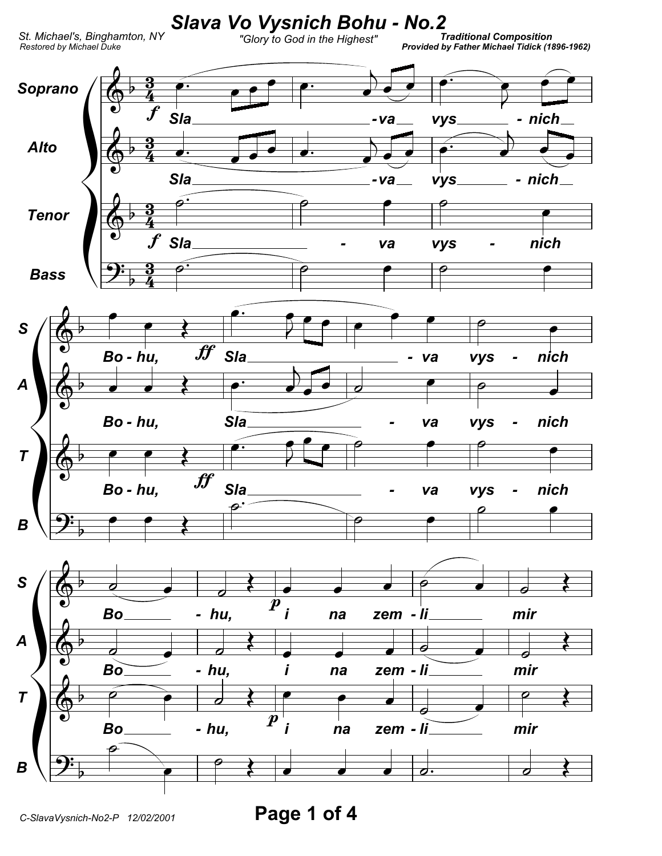

Page 1 of 4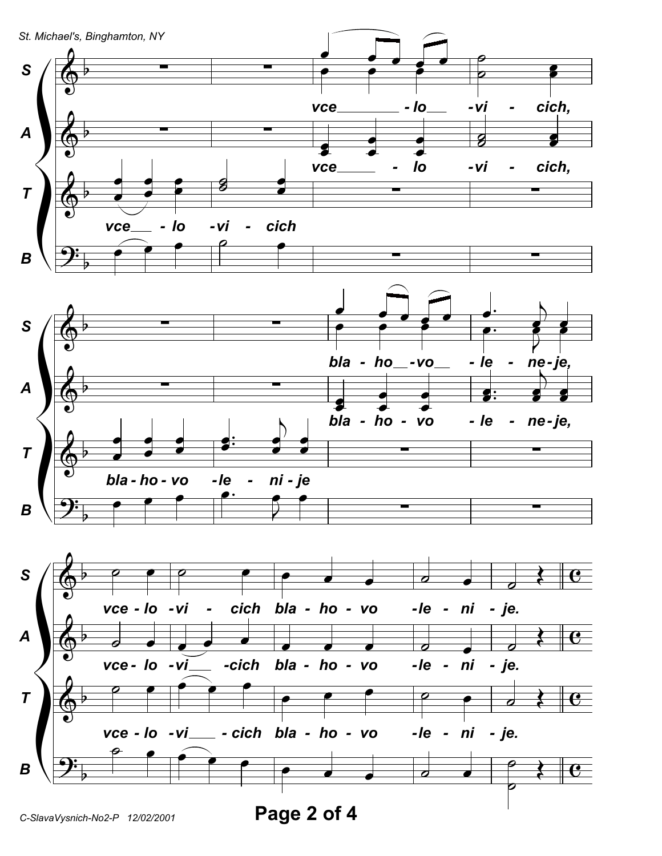

C-SlavaVysnich-No2-P 12/02/2001

Page 2 of 4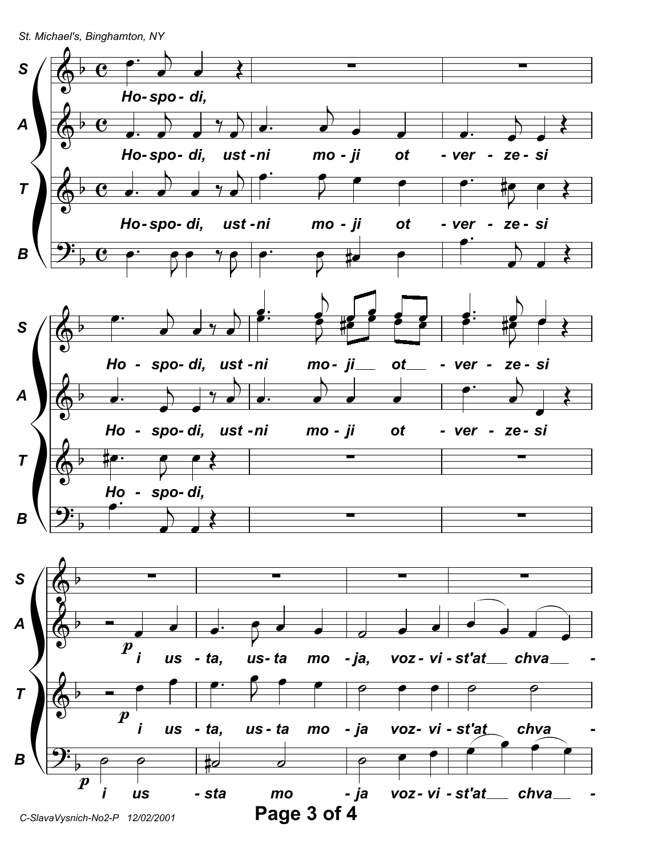St. Michael's, Binghamton, NY